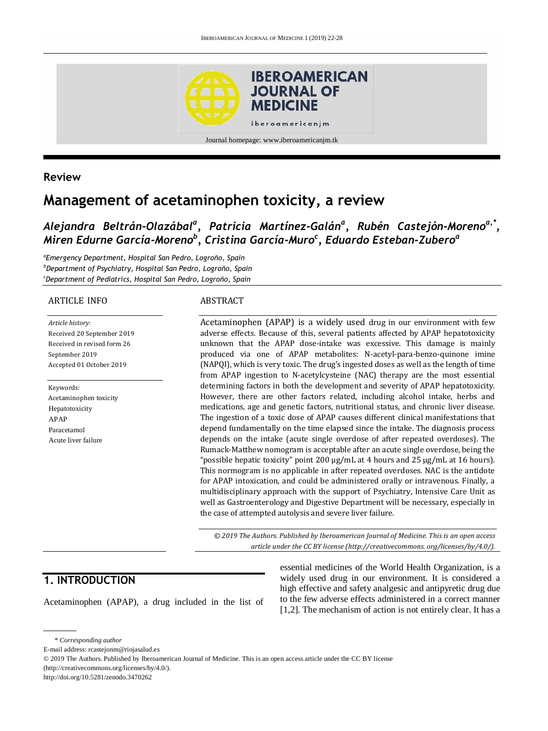

### **Review**

# **Management of acetaminophen toxicity, a review**

# *Alejandra Beltrán-Olazábal<sup>a</sup> , Patricia Martínez-Galán<sup>a</sup> , Rubén Castejón-Morenoa,\* , Miren Edurne García-Moreno<sup>b</sup> , Cristina García-Muro<sup>c</sup> , Eduardo Esteban-Zubero<sup>a</sup>*

*a Emergency Department, Hospital San Pedro, Logroño, Spain <sup>b</sup>Department of Psychiatry, Hospital San Pedro, Logroño, Spain <sup>c</sup>Department of Pediatrics, Hospital San Pedro, Logroño, Spain*

#### ARTICLE INFO

*Article history:* Received 20 September 2019 Received in revised form 26 September 2019 Accepted 01 October 2019

Keywords: Acetaminophen toxicity Hepatotoxicity APAP Paracetamol Acute liver failure

#### ABSTRACT

Acetaminophen (APAP) is a widely used drug in our environment with few adverse effects. Because of this, several patients affected by APAP hepatotoxicity unknown that the APAP dose-intake was excessive. This damage is mainly produced via one of APAP metabolites: N-acetyl-para-benzo-quinone imine (NAPQI), which is very toxic. The drug's ingested doses as well as the length of time from APAP ingestion to N-acetylcysteine (NAC) therapy are the most essential determining factors in both the development and severity of APAP hepatotoxicity. However, there are other factors related, including alcohol intake, herbs and medications, age and genetic factors, nutritional status, and chronic liver disease. The ingestion of a toxic dose of APAP causes different clinical manifestations that depend fundamentally on the time elapsed since the intake. The diagnosis process depends on the intake (acute single overdose of after repeated overdoses). The Rumack-Matthew nomogram is acceptable after an acute single overdose, being the "possible hepatic toxicity" point 200 µg/mL at 4 hours and 25 µg/mL at 16 hours). This normogram is no applicable in after repeated overdoses. NAC is the antidote for APAP intoxication, and could be administered orally or intravenous. Finally, a multidisciplinary approach with the support of Psychiatry, Intensive Care Unit as well as Gastroenterology and Digestive Department will be necessary, especially in the case of attempted autolysis and severe liver failure.

*© 2019 The Authors. Published by Iberoamerican Journal of Medicine. This is an open access article under the CC BY license (http:/[/creativecommons. org/licenses/by/4.0/\)](https://creativecommons.org/licenses/by/4.0/).*

## **1. INTRODUCTION**

Acetaminophen (APAP), a drug included in the list of

essential medicines of the World Health Organization, is a widely used drug in our environment. It is considered a high effective and safety analgesic and antipyretic drug due to the few adverse effects administered in a correct manner [1,2]. The mechanism of action is not entirely clear. It has a

<sup>\*</sup> *Corresponding author*

E-mail address: rcastejonm@riojasalud.es

<sup>© 2019</sup> The Authors. Published by Iberoamerican Journal of Medicine. This is an open access article under the CC BY license (http://creativecommons.org/licenses/by/4.0/).

http://doi.org/10.5281/zenodo.3470262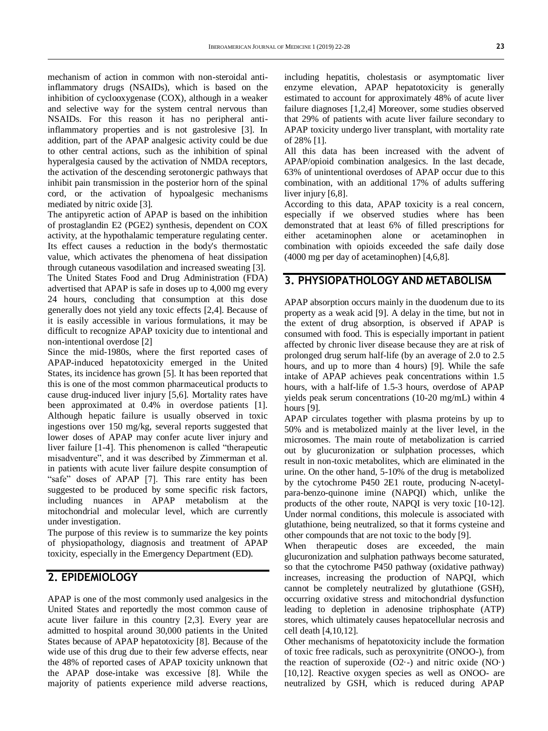mechanism of action in common with non-steroidal antiinflammatory drugs (NSAIDs), which is based on the inhibition of cyclooxygenase (COX), although in a weaker and selective way for the system central nervous than NSAIDs. For this reason it has no peripheral antiinflammatory properties and is not gastrolesive [3]. In addition, part of the APAP analgesic activity could be due to other central actions, such as the inhibition of spinal hyperalgesia caused by the activation of NMDA receptors, the activation of the descending serotonergic pathways that inhibit pain transmission in the posterior horn of the spinal cord, or the activation of hypoalgesic mechanisms mediated by nitric oxide [3].

The antipyretic action of APAP is based on the inhibition of prostaglandin E2 (PGE2) synthesis, dependent on COX activity, at the hypothalamic temperature regulating center. Its effect causes a reduction in the body's thermostatic value, which activates the phenomena of heat dissipation through cutaneous vasodilation and increased sweating [3]. The United States Food and Drug Administration (FDA) advertised that APAP is safe in doses up to 4,000 mg every 24 hours, concluding that consumption at this dose generally does not yield any toxic effects [2,4]. Because of it is easily accessible in various formulations, it may be difficult to recognize APAP toxicity due to intentional and non-intentional overdose [2]

Since the mid-1980s, where the first reported cases of APAP-induced hepatotoxicity emerged in the United States, its incidence has grown [5]. It has been reported that this is one of the most common pharmaceutical products to cause drug-induced liver injury [5,6]. Mortality rates have been approximated at 0.4% in overdose patients [1]. Although hepatic failure is usually observed in toxic ingestions over 150 mg/kg, several reports suggested that lower doses of APAP may confer acute liver injury and liver failure [1-4]. This phenomenon is called "therapeutic misadventure", and it was described by Zimmerman et al. in patients with acute liver failure despite consumption of "safe" doses of APAP [7]. This rare entity has been suggested to be produced by some specific risk factors, including nuances in APAP metabolism at the mitochondrial and molecular level, which are currently under investigation.

The purpose of this review is to summarize the key points of physiopathology, diagnosis and treatment of APAP toxicity, especially in the Emergency Department (ED).

## **2. EPIDEMIOLOGY**

APAP is one of the most commonly used analgesics in the United States and reportedly the most common cause of acute liver failure in this country [2,3]. Every year are admitted to hospital around 30,000 patients in the United States because of APAP hepatotoxicity [8]. Because of the wide use of this drug due to their few adverse effects, near the 48% of reported cases of APAP toxicity unknown that the APAP dose-intake was excessive [8]. While the majority of patients experience mild adverse reactions,

including hepatitis, cholestasis or asymptomatic liver enzyme elevation, APAP hepatotoxicity is generally estimated to account for approximately 48% of acute liver failure diagnoses [1,2,4] Moreover, some studies observed that 29% of patients with acute liver failure secondary to APAP toxicity undergo liver transplant, with mortality rate of 28% [1].

All this data has been increased with the advent of APAP/opioid combination analgesics. In the last decade, 63% of unintentional overdoses of APAP occur due to this combination, with an additional 17% of adults suffering liver injury [6,8].

According to this data, APAP toxicity is a real concern, especially if we observed studies where has been demonstrated that at least 6% of filled prescriptions for either acetaminophen alone or acetaminophen in combination with opioids exceeded the safe daily dose (4000 mg per day of acetaminophen) [4,6,8].

### **3. PHYSIOPATHOLOGY AND METABOLISM**

APAP absorption occurs mainly in the duodenum due to its property as a weak acid [9]. A delay in the time, but not in the extent of drug absorption, is observed if APAP is consumed with food. This is especially important in patient affected by chronic liver disease because they are at risk of prolonged drug serum half-life (by an average of 2.0 to 2.5 hours, and up to more than 4 hours) [9]. While the safe intake of APAP achieves peak concentrations within 1.5 hours, with a half-life of 1.5-3 hours, overdose of APAP yields peak serum concentrations (10-20 mg/mL) within 4 hours [9].

APAP circulates together with plasma proteins by up to 50% and is metabolized mainly at the liver level, in the microsomes. The main route of metabolization is carried out by glucuronization or sulphation processes, which result in non-toxic metabolites, which are eliminated in the urine. On the other hand, 5-10% of the drug is metabolized by the cytochrome P450 2E1 route, producing N-acetylpara-benzo-quinone imine (NAPQI) which, unlike the products of the other route, NAPQI is very toxic [10-12]. Under normal conditions, this molecule is associated with glutathione, being neutralized, so that it forms cysteine and other compounds that are not toxic to the body [9].

When therapeutic doses are exceeded, the main glucuronization and sulphation pathways become saturated, so that the cytochrome P450 pathway (oxidative pathway) increases, increasing the production of NAPQI, which cannot be completely neutralized by glutathione (GSH), occurring oxidative stress and mitochondrial dysfunction leading to depletion in adenosine triphosphate (ATP) stores, which ultimately causes hepatocellular necrosis and cell death [4,10,12].

Other mechanisms of hepatotoxicity include the formation of toxic free radicals, such as peroxynitrite (ONOO-), from the reaction of superoxide  $(O2-)$  and nitric oxide  $(NO-)$ [10,12]. Reactive oxygen species as well as ONOO- are neutralized by GSH, which is reduced during APAP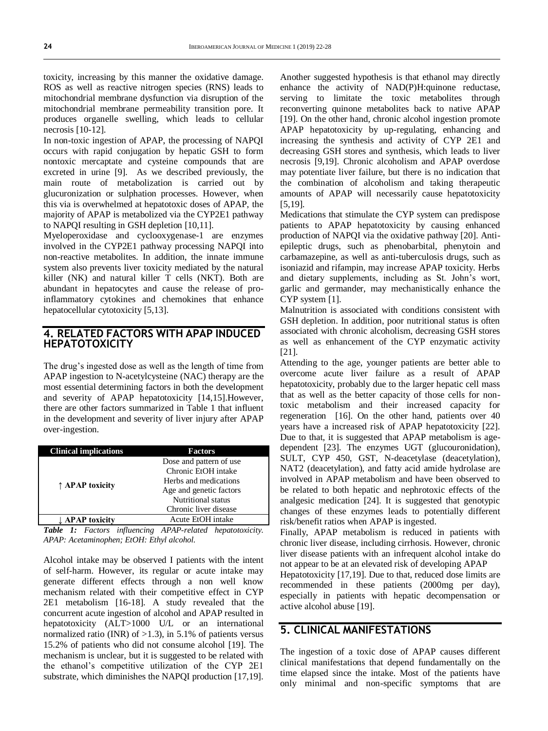toxicity, increasing by this manner the oxidative damage. ROS as well as reactive nitrogen species (RNS) leads to mitochondrial membrane dysfunction via disruption of the mitochondrial membrane permeability transition pore. It produces organelle swelling, which leads to cellular necrosis [10-12].

In non-toxic ingestion of APAP, the processing of NAPQI occurs with rapid conjugation by hepatic GSH to form nontoxic mercaptate and cysteine compounds that are excreted in urine [9]. As we described previously, the main route of metabolization is carried out by glucuronization or sulphation processes. However, when this via is overwhelmed at hepatotoxic doses of APAP, the majority of APAP is metabolized via the CYP2E1 pathway to NAPQI resulting in GSH depletion [10,11].

Myeloperoxidase and cyclooxygenase-1 are enzymes involved in the CYP2E1 pathway processing NAPQI into non-reactive metabolites. In addition, the innate immune system also prevents liver toxicity mediated by the natural killer (NK) and natural killer T cells (NKT). Both are abundant in hepatocytes and cause the release of proinflammatory cytokines and chemokines that enhance hepatocellular cytotoxicity [5,13].

### **4. RELATED FACTORS WITH APAP INDUCED HEPATOTOXICITY**

The drug's ingested dose as well as the length of time from APAP ingestion to N-acetylcysteine (NAC) therapy are the most essential determining factors in both the development and severity of APAP hepatotoxicity [14,15].However, there are other factors summarized in Table 1 that influent in the development and severity of liver injury after APAP over-ingestion.

| <b>Clinical implications</b> | <b>Factors</b>                                   |  |  |  |
|------------------------------|--------------------------------------------------|--|--|--|
|                              | Dose and pattern of use<br>Chronic EtOH intake   |  |  |  |
| ↑ APAP toxicity              | Herbs and medications<br>Age and genetic factors |  |  |  |
|                              | Nutritional status                               |  |  |  |
|                              | Chronic liver disease                            |  |  |  |
| ↓ APAP toxicity              | Acute EtOH intake                                |  |  |  |

*Table 1: Factors influencing APAP-related hepatotoxicity. APAP: Acetaminophen; EtOH: Ethyl alcohol.*

Alcohol intake may be observed I patients with the intent of self-harm. However, its regular or acute intake may generate different effects through a non well know mechanism related with their competitive effect in CYP 2E1 metabolism [16-18]. A study revealed that the concurrent acute ingestion of alcohol and APAP resulted in hepatotoxicity (ALT>1000 U/L or an international normalized ratio (INR) of  $>1.3$ ), in 5.1% of patients versus 15.2% of patients who did not consume alcohol [19]. The mechanism is unclear, but it is suggested to be related with the ethanol's competitive utilization of the CYP 2E1 substrate, which diminishes the NAPQI production [17,19].

Another suggested hypothesis is that ethanol may directly enhance the activity of NAD(P)H:quinone reductase, serving to limitate the toxic metabolites through reconverting quinone metabolites back to native APAP [19]. On the other hand, chronic alcohol ingestion promote APAP hepatotoxicity by up-regulating, enhancing and increasing the synthesis and activity of CYP 2E1 and decreasing GSH stores and synthesis, which leads to liver necrosis [9,19]. Chronic alcoholism and APAP overdose may potentiate liver failure, but there is no indication that the combination of alcoholism and taking therapeutic amounts of APAP will necessarily cause hepatotoxicity [5,19].

Medications that stimulate the CYP system can predispose patients to APAP hepatotoxicity by causing enhanced production of NAPQI via the oxidative pathway [20]. Antiepileptic drugs, such as phenobarbital, phenytoin and carbamazepine, as well as anti-tuberculosis drugs, such as isoniazid and rifampin, may increase APAP toxicity. Herbs and dietary supplements, including as St. John's wort, garlic and germander, may mechanistically enhance the CYP system [1].

Malnutrition is associated with conditions consistent with GSH depletion. In addition, poor nutritional status is often associated with chronic alcoholism, decreasing GSH stores as well as enhancement of the CYP enzymatic activity [21].

Attending to the age, younger patients are better able to overcome acute liver failure as a result of APAP hepatotoxicity, probably due to the larger hepatic cell mass that as well as the better capacity of those cells for nontoxic metabolism and their increased capacity for regeneration [16]. On the other hand, patients over 40 years have a increased risk of APAP hepatotoxicity [22]. Due to that, it is suggested that APAP metabolism is agedependent [23]. The enzymes UGT (glucouronidation), SULT, CYP 450, GST, N-deacetylase (deacetylation), NAT2 (deacetylation), and fatty acid amide hydrolase are involved in APAP metabolism and have been observed to be related to both hepatic and nephrotoxic effects of the analgesic medication [24]. It is suggested that genotypic changes of these enzymes leads to potentially different risk/benefit ratios when APAP is ingested.

Finally, APAP metabolism is reduced in patients with chronic liver disease, including cirrhosis. However, chronic liver disease patients with an infrequent alcohol intake do not appear to be at an elevated risk of developing APAP

Hepatotoxicity [17,19]. Due to that, reduced dose limits are recommended in these patients (2000mg per day), especially in patients with hepatic decompensation or active alcohol abuse [19].

## **5. CLINICAL MANIFESTATIONS**

The ingestion of a toxic dose of APAP causes different clinical manifestations that depend fundamentally on the time elapsed since the intake. Most of the patients have only minimal and non-specific symptoms that are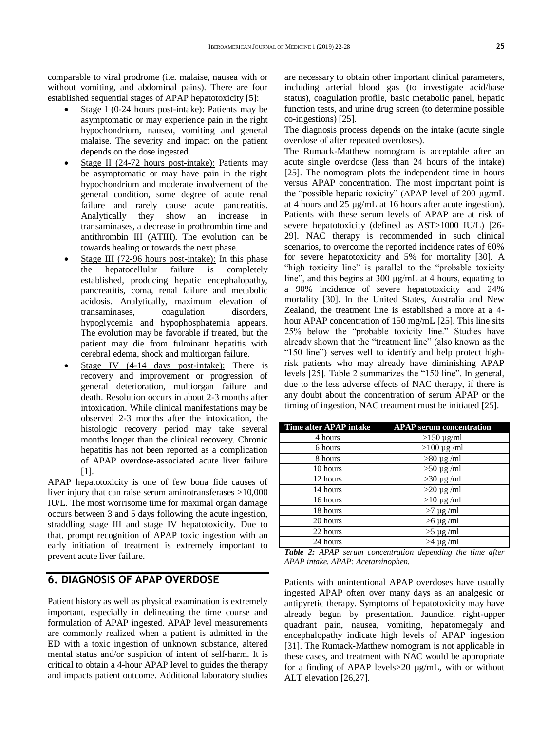comparable to viral prodrome (i.e. malaise, nausea with or without vomiting, and abdominal pains). There are four established sequential stages of APAP hepatotoxicity [5]:

- Stage I (0-24 hours post-intake): Patients may be asymptomatic or may experience pain in the right hypochondrium, nausea, vomiting and general malaise. The severity and impact on the patient depends on the dose ingested.
- Stage II (24-72 hours post-intake): Patients may be asymptomatic or may have pain in the right hypochondrium and moderate involvement of the general condition, some degree of acute renal failure and rarely cause acute pancreatitis. Analytically they show an increase in transaminases, a decrease in prothrombin time and antithrombin III (ATIII). The evolution can be towards healing or towards the next phase.
- Stage III (72-96 hours post-intake): In this phase the hepatocellular failure is completely established, producing hepatic encephalopathy, pancreatitis, coma, renal failure and metabolic acidosis. Analytically, maximum elevation of transaminases, coagulation disorders, hypoglycemia and hypophosphatemia appears. The evolution may be favorable if treated, but the patient may die from fulminant hepatitis with cerebral edema, shock and multiorgan failure.
- Stage IV (4-14 days post-intake): There is recovery and improvement or progression of general deterioration, multiorgan failure and death. Resolution occurs in about 2-3 months after intoxication. While clinical manifestations may be observed 2-3 months after the intoxication, the histologic recovery period may take several months longer than the clinical recovery. Chronic hepatitis has not been reported as a complication of APAP overdose-associated acute liver failure [1].

APAP hepatotoxicity is one of few bona fide causes of liver injury that can raise serum aminotransferases >10,000 IU/L. The most worrisome time for maximal organ damage occurs between 3 and 5 days following the acute ingestion, straddling stage III and stage IV hepatotoxicity. Due to that, prompt recognition of APAP toxic ingestion with an early initiation of treatment is extremely important to prevent acute liver failure.

## **6. DIAGNOSIS OF APAP OVERDOSE**

Patient history as well as physical examination is extremely important, especially in delineating the time course and formulation of APAP ingested. APAP level measurements are commonly realized when a patient is admitted in the ED with a toxic ingestion of unknown substance, altered mental status and/or suspicion of intent of self-harm. It is critical to obtain a 4-hour APAP level to guides the therapy and impacts patient outcome. Additional laboratory studies

are necessary to obtain other important clinical parameters, including arterial blood gas (to investigate acid/base status), coagulation profile, basic metabolic panel, hepatic function tests, and urine drug screen (to determine possible co-ingestions) [25].

The diagnosis process depends on the intake (acute single overdose of after repeated overdoses).

The Rumack-Matthew nomogram is acceptable after an acute single overdose (less than 24 hours of the intake) [25]. The nomogram plots the independent time in hours versus APAP concentration. The most important point is the "possible hepatic toxicity" (APAP level of 200 µg/mL at 4 hours and 25 µg/mL at 16 hours after acute ingestion). Patients with these serum levels of APAP are at risk of severe hepatotoxicity (defined as AST>1000 IU/L) [26-29]. NAC therapy is recommended in such clinical scenarios, to overcome the reported incidence rates of 60% for severe hepatotoxicity and 5% for mortality [30]. A "high toxicity line" is parallel to the "probable toxicity line", and this begins at 300 µg/mL at 4 hours, equating to a 90% incidence of severe hepatotoxicity and 24% mortality [30]. In the United States, Australia and New Zealand, the treatment line is established a more at a 4 hour APAP concentration of 150 mg/mL [25]. This line sits 25% below the "probable toxicity line." Studies have already shown that the "treatment line" (also known as the "150 line") serves well to identify and help protect highrisk patients who may already have diminishing APAP levels [25]. Table 2 summarizes the "150 line". In general, due to the less adverse effects of NAC therapy, if there is any doubt about the concentration of serum APAP or the timing of ingestion, NAC treatment must be initiated [25].

| Time after APAP intake | <b>APAP</b> serum concentration |
|------------------------|---------------------------------|
| 4 hours                | $>150 \mu g/ml$                 |
| 6 hours                | $>100 \mu g$ /ml                |
| 8 hours                | $>80 \mu g/ml$                  |
| 10 hours               | $>50 \mu g/ml$                  |
| 12 hours               | $>30 \mu g/ml$                  |
| 14 hours               | $>20 \mu g/ml$                  |
| 16 hours               | $>10 \mu g/ml$                  |
| 18 hours               | $>7 \mu g$ /ml                  |
| 20 hours               | $>6 \mu g/ml$                   |
| 22 hours               | $>5 \mu g/ml$                   |
| 24 hours               | $>4 \mu g$ /ml                  |

|  | <b>Table 2:</b> APAP serum concentration depending the time after |  |  |
|--|-------------------------------------------------------------------|--|--|
|  | APAP intake. APAP: Acetaminophen.                                 |  |  |

Patients with unintentional APAP overdoses have usually ingested APAP often over many days as an analgesic or antipyretic therapy. Symptoms of hepatotoxicity may have already begun by presentation. Jaundice, right-upper quadrant pain, nausea, vomiting, hepatomegaly and encephalopathy indicate high levels of APAP ingestion [31]. The Rumack-Matthew nomogram is not applicable in these cases, and treatment with NAC would be appropriate for a finding of APAP levels>20 µg/mL, with or without ALT elevation [26,27].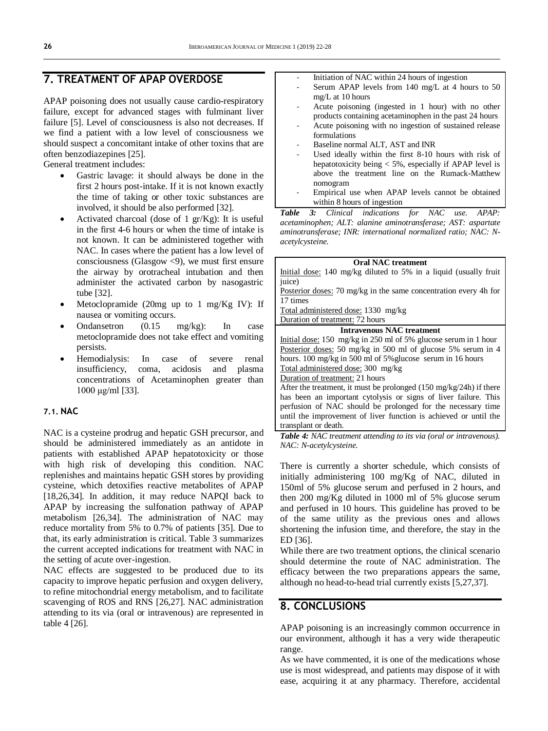## **7. TREATMENT OF APAP OVERDOSE**

APAP poisoning does not usually cause cardio-respiratory failure, except for advanced stages with fulminant liver failure [5]. Level of consciousness is also not decreases. If we find a patient with a low level of consciousness we should suspect a concomitant intake of other toxins that are often benzodiazepines [25].

General treatment includes:

- Gastric lavage: it should always be done in the first 2 hours post-intake. If it is not known exactly the time of taking or other toxic substances are involved, it should be also performed [32].
- Activated charcoal (dose of 1 gr/Kg): It is useful in the first 4-6 hours or when the time of intake is not known. It can be administered together with NAC. In cases where the patient has a low level of consciousness (Glasgow  $\langle 9 \rangle$ , we must first ensure the airway by orotracheal intubation and then administer the activated carbon by nasogastric tube [32].
- Metoclopramide (20mg up to 1 mg/Kg IV): If nausea or vomiting occurs.
- Ondansetron (0.15 mg/kg): In case metoclopramide does not take effect and vomiting persists.
- Hemodialysis: In case of severe renal insufficiency, coma, acidosis and plasma concentrations of Acetaminophen greater than 1000 μg/ml [33].

#### **7.1. NAC**

NAC is a cysteine prodrug and hepatic GSH precursor, and should be administered immediately as an antidote in patients with established APAP hepatotoxicity or those with high risk of developing this condition. NAC replenishes and maintains hepatic GSH stores by providing cysteine, which detoxifies reactive metabolites of APAP [18,26,34]. In addition, it may reduce NAPQI back to APAP by increasing the sulfonation pathway of APAP metabolism [26,34]. The administration of NAC may reduce mortality from 5% to 0.7% of patients [35]. Due to that, its early administration is critical. Table 3 summarizes the current accepted indications for treatment with NAC in the setting of acute over-ingestion.

NAC effects are suggested to be produced due to its capacity to improve hepatic perfusion and oxygen delivery, to refine mitochondrial energy metabolism, and to facilitate scavenging of ROS and RNS [26,27]. NAC administration attending to its via (oral or intravenous) are represented in table 4 [26].

- Initiation of NAC within 24 hours of ingestion
- Serum APAP levels from 140 mg/L at 4 hours to 50 mg/L at 10 hours
- Acute poisoning (ingested in 1 hour) with no other products containing acetaminophen in the past 24 hours
- Acute poisoning with no ingestion of sustained release formulations
- Baseline normal ALT, AST and INR
- Used ideally within the first 8-10 hours with risk of hepatotoxicity being < 5%, especially if APAP level is above the treatment line on the Rumack-Matthew nomogram
- Empirical use when APAP levels cannot be obtained within 8 hours of ingestion

*Table 3: Clinical indications for NAC use. APAP: acetaminophen; ALT: alanine aminotransferase; AST: aspartate aminotransferase; INR: international normalized ratio; NAC: Nacetylcysteine.*

| <b>Oral NAC</b> treatment                                                              |  |  |  |  |
|----------------------------------------------------------------------------------------|--|--|--|--|
| Initial dose: $140 \text{ mg/kg}$ diluted to 5% in a liquid (usually fruit             |  |  |  |  |
| juice)                                                                                 |  |  |  |  |
| Posterior doses: 70 mg/kg in the same concentration every 4h for                       |  |  |  |  |
| 17 times                                                                               |  |  |  |  |
| Total administered dose: 1330 mg/kg                                                    |  |  |  |  |
| Duration of treatment: 72 hours                                                        |  |  |  |  |
| <b>Intravenous NAC</b> treatment                                                       |  |  |  |  |
| Initial dose: $150 \text{ mg/kg}$ in $250 \text{ ml}$ of $5\%$ glucose serum in 1 hour |  |  |  |  |
| Posterior doses: 50 mg/kg in 500 ml of glucose 5% serum in 4                           |  |  |  |  |
| hours. $100 \text{ mg/kg}$ in 500 ml of 5% glucose serum in 16 hours                   |  |  |  |  |
| Total administered dose: 300 mg/kg                                                     |  |  |  |  |
| Duration of treatment: 21 hours                                                        |  |  |  |  |
| After the treatment, it must be prolonged $(150 \text{ mg/kg}/24\text{h})$ if there    |  |  |  |  |
| has been an important evtolvsis or signs of liver failure. This                        |  |  |  |  |

has been an important cytolysis or signs of liver failure. This perfusion of NAC should be prolonged for the necessary time until the improvement of liver function is achieved or until the transplant or death.

*Table 4: NAC treatment attending to its via (oral or intravenous). NAC: N-acetylcysteine.*

There is currently a shorter schedule, which consists of initially administering 100 mg/Kg of NAC, diluted in 150ml of 5% glucose serum and perfused in 2 hours, and then 200 mg/Kg diluted in 1000 ml of 5% glucose serum and perfused in 10 hours. This guideline has proved to be of the same utility as the previous ones and allows shortening the infusion time, and therefore, the stay in the ED [36].

While there are two treatment options, the clinical scenario should determine the route of NAC administration. The efficacy between the two preparations appears the same, although no head-to-head trial currently exists [5,27,37].

### **8. CONCLUSIONS**

APAP poisoning is an increasingly common occurrence in our environment, although it has a very wide therapeutic range.

As we have commented, it is one of the medications whose use is most widespread, and patients may dispose of it with ease, acquiring it at any pharmacy. Therefore, accidental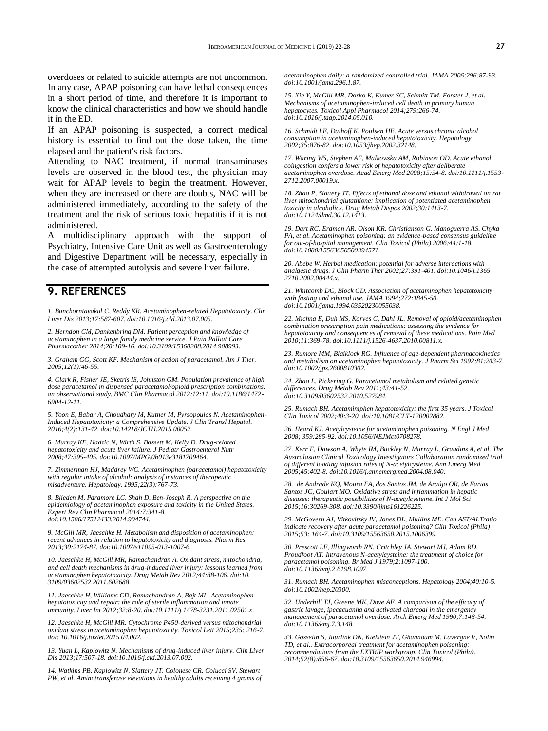overdoses or related to suicide attempts are not uncommon. In any case, APAP poisoning can have lethal consequences in a short period of time, and therefore it is important to know the clinical characteristics and how we should handle it in the ED.

If an APAP poisoning is suspected, a correct medical history is essential to find out the dose taken, the time elapsed and the patient's risk factors.

Attending to NAC treatment, if normal transaminases levels are observed in the blood test, the physician may wait for APAP levels to begin the treatment. However, when they are increased or there are doubts, NAC will be administered immediately, according to the safety of the treatment and the risk of serious toxic hepatitis if it is not administered.

A multidisciplinary approach with the support of Psychiatry, Intensive Care Unit as well as Gastroenterology and Digestive Department will be necessary, especially in the case of attempted autolysis and severe liver failure.

#### **9. REFERENCES**

*1. Bunchorntavakul C, Reddy KR. Acetaminophen-related Hepatotoxicity. Clin Liver Dis 2013;17:587-607. doi:10.1016/j.cld.2013.07.005.*

*2. Herndon CM, Dankenbring DM. Patient perception and knowledge of acetaminophen in a large family medicine service. J Pain Palliat Care Pharmacother 2014;28:109-16. doi:10.3109/15360288.2014.908993.*

*3. Graham GG, Scott KF. Mechanism of action of paracetamol. Am J Ther. 2005;12(1):46-55.*

*4. Clark R, Fisher JE, Sketris IS, Johnston GM. Population prevalence of high dose paracetamol in dispensed paracetamol/opioid prescription combinations: an observational study. BMC Clin Pharmacol 2012;12:11. doi:10.1186/1472- 6904-12-11.*

*5. Yoon E, Babar A, Choudhary M, Kutner M, Pyrsopoulos N. Acetaminophen-Induced Hepatotoxicity: a Comprehensive Update. J Clin Transl Hepatol. 2016;4(2):131-42. doi:10.14218/JCTH.2015.00052.* 

*6. Murray KF, Hadzic N, Wirth S, Bassett M, Kelly D. Drug-related hepatotoxicity and acute liver failure. J Pediatr Gastroenterol Nutr 2008;47:395-405. doi:10.1097/MPG.0b013e3181709464.*

*7. Zimmerman HJ, Maddrey WC. Acetaminophen (paracetamol) hepatotoxicity with regular intake of alcohol: analysis of instances of therapeutic misadventure. Hepatology. 1995;22(3):767-73.*

*8. Blieden M, Paramore LC, Shah D, Ben-Joseph R. A perspective on the epidemiology of acetaminophen exposure and toxicity in the United States. Expert Rev Clin Pharmacol 2014;7:341-8. doi:10.1586/17512433.2014.904744.*

*9. McGill MR, Jaeschke H. Metabolism and disposition of acetaminophen: recent advances in relation to hepatotoxicity and diagnosis. Pharm Res 2013;30:2174-87. doi:10.1007/s11095-013-1007-6.*

*10. Jaeschke H, McGill MR, Ramachandran A. Oxidant stress, mitochondria, and cell death mechanisms in drug-induced liver injury: lessons learned from acetaminophen hepatotoxicity. Drug Metab Rev 2012;44:88-106. doi:10. 3109/03602532.2011.602688.*

*11. Jaeschke H, Williams CD, Ramachandran A, Bajt ML. Acetaminophen hepatotoxicity and repair: the role of sterile inflammation and innate immunity. Liver Int 2012;32:8-20. doi:10.1111/j.1478-3231.2011.02501.x.*

*12. Jaeschke H, McGill MR. Cytochrome P450-derived versus mitochondrial oxidant stress in acetaminophen hepatotoxicity. Toxicol Lett 2015;235: 216-7. doi: 10.1016/j.toxlet.2015.04.002.*

*13. Yuan L, Kaplowitz N. Mechanisms of drug-induced liver injury. Clin Liver Dis 2013;17:507-18. doi:10.1016/j.cld.2013.07.002.*

*14. Watkins PB, Kaplowitz N, Slattery JT, Colonese CR, Colucci SV, Stewart PW, et al. Aminotransferase elevations in healthy adults receiving 4 grams of*  *acetaminophen daily: a randomized controlled trial. JAMA 2006;296:87-93. doi:10.1001/jama.296.1.87.*

*15. Xie Y, McGill MR, Dorko K, Kumer SC, Schmitt TM, Forster J, et al. Mechanisms of acetaminophen-induced cell death in primary human hepatocytes. Toxicol Appl Pharmacol 2014;279:266-74. doi:10.1016/j.taap.2014.05.010.*

*16. Schmidt LE, Dalhoff K, Poulsen HE. Acute versus chronic alcohol consumption in acetaminophen-induced hepatotoxicity. Hepatology 2002;35:876-82. doi:10.1053/jhep.2002.32148.*

*17. Waring WS, Stephen AF, Malkowska AM, Robinson OD. Acute ethanol coingestion confers a lower risk of hepatotoxicity after deliberate acetaminophen overdose. Acad Emerg Med 2008;15:54-8. doi:10.1111/j.1553- 2712.2007.00019.x.*

*18. Zhao P, Slattery JT. Effects of ethanol dose and ethanol withdrawal on rat liver mitochondrial glutathione: implication of potentiated acetaminophen toxicity in alcoholics. Drug Metab Dispos 2002;30:1413-7. doi:10.1124/dmd.30.12.1413.*

*19. Dart RC, Erdman AR, Olson KR, Christianson G, Manoguerra AS, Chyka PA, et al. Acetaminophen poisoning: an evidence-based consensus guideline for out-of-hospital management. Clin Toxicol (Phila) 2006;44:1-18. doi:10.1080/15563650500394571.*

*20. Abebe W. Herbal medication: potential for adverse interactions with analgesic drugs. J Clin Pharm Ther 2002;27:391-401. doi:10.1046/j.1365 2710.2002.00444.x.*

*21. Whitcomb DC, Block GD. Association of acetaminophen hepatotoxicity with fasting and ethanol use. JAMA 1994;272:1845-50. doi:10.1001/jama.1994.03520230055038.*

*22. Michna E, Duh MS, Korves C, Dahl JL. Removal of opioid/acetaminophen combination prescription pain medications: assessing the evidence for hepatotoxicity and consequences of removal of these medications. Pain Med 2010;11:369-78. doi:10.1111/j.1526-4637.2010.00811.x.*

*23. Rumore MM, Blaiklock RG. Influence of age-dependent pharmacokinetics and metabolism on acetaminophen hepatotoxicity. J Pharm Sci 1992;81:203-7. doi:10.1002/jps.2600810302.*

*24. Zhao L, Pickering G. Paracetamol metabolism and related genetic differences. Drug Metab Rev 2011;43:41-52. doi:10.3109/03602532.2010.527984.*

*25. Rumack BH. Acetaminiphen hepatotoxicity: the first 35 years. J Toxicol Clin Toxicol 2002;40:3-20. doi:10.1081/CLT-120002882.*

*26. Heard KJ. Acetylcysteine for acetaminophen poisoning. N Engl J Med 2008; 359:285-92. doi:10.1056/NEJMct0708278.*

*27. Kerr F, Dawson A, Whyte IM, Buckley N, Murray L, Graudins A, et al. The Australasian Clinical Toxicology Investigators Collaboration randomized trial of different loading infusion rates of N-acetylcysteine. Ann Emerg Med 2005;45:402-8. doi:10.1016/j.annemergmed.2004.08.040.*

*28. de Andrade KQ, Moura FA, dos Santos JM, de Araújo OR, de Farias Santos JC, Goulart MO. Oxidative stress and inflammation in hepatic diseases: therapeutic possibilities of N-acetylcysteine. Int J Mol Sci 2015;16:30269-308. doi:10.3390/ijms161226225.*

*29. McGovern AJ, Vitkovitsky IV, Jones DL, Mullins ME. Can AST/ALTratio indicate recovery after acute paracetamol poisoning? Clin Toxicol (Phila) 2015;53: 164-7. doi:10.3109/15563650.2015.1006399.*

*30. Prescott LF, Illingworth RN, Critchley JA, Stewart MJ, Adam RD, Proudfoot AT. Intravenous N-acetylcysteine: the treatment of choice for paracetamol poisoning. Br Med J 1979;2:1097-100. doi:10.1136/bmj.2.6198.1097.*

*31. Rumack BH. Acetaminophen misconceptions. Hepatology 2004;40:10-5. doi:10.1002/hep.20300.*

*32. Underhill TJ, Greene MK, Dove AF. A comparison of the efficacy of gastric lavage, ipecacuanha and activated charcoal in the emergency management of paracetamol overdose. Arch Emerg Med 1990;7:148-54. doi:10.1136/emj.7.3.148.*

*33. Gosselin S, Juurlink DN, Kielstein JT, Ghannoum M, Lavergne V, Nolin TD, et al.. Extracorporeal treatment for acetaminophen poisoning: recommendations from the EXTRIP workgroup. Clin Toxicol (Phila). 2014;52(8):856-67. doi:10.3109/15563650.2014.946994.*